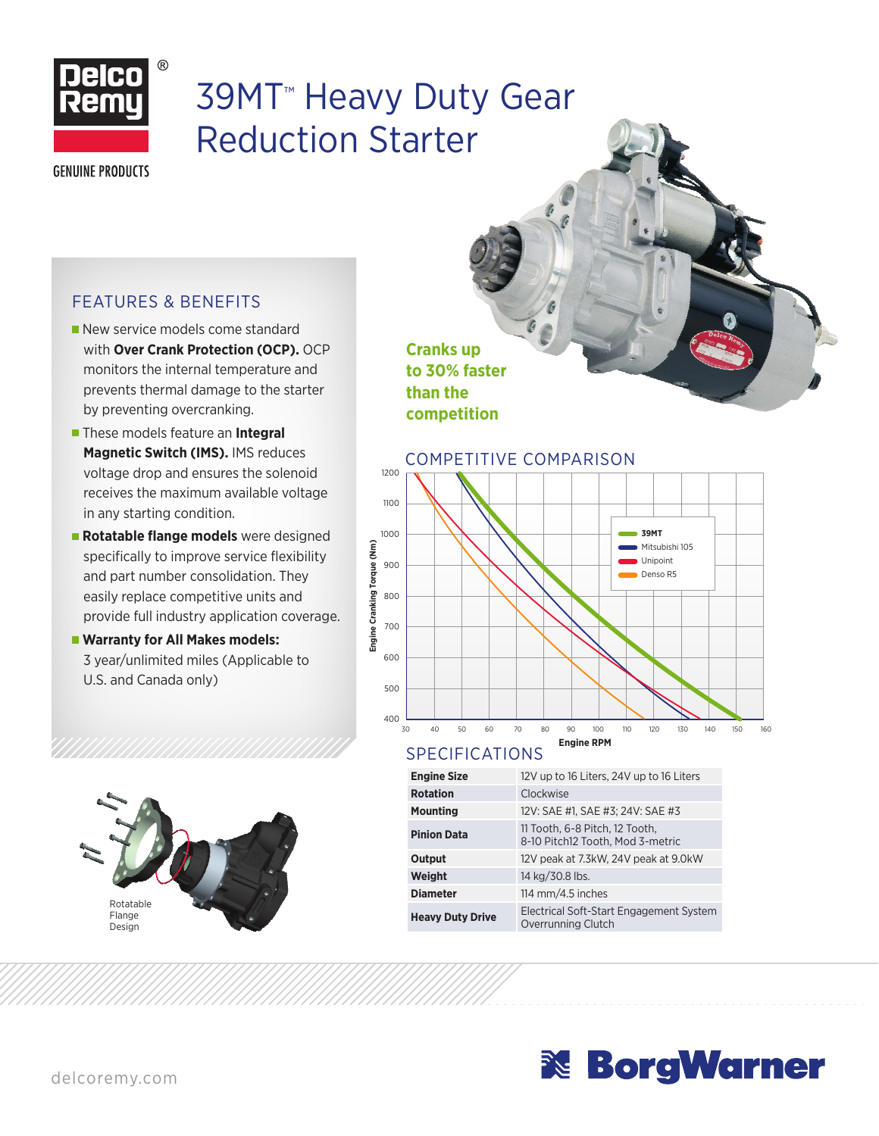

## 39MT™ Heavy Duty Gear Reduction Starter

**GENUINE PRODUCTS** 

## FEATURES & BENEFITS

- New service models come standard with **Over Crank Protection (OCP).** OCP monitors the internal temperature and prevents thermal damage to the starter by preventing overcranking.
- **These models feature an Integral Magnetic Switch (IMS).** IMS reduces voltage drop and ensures the solenoid receives the maximum available voltage in any starting condition.
- **Rotatable flange models** were designed specifically to improve service flexibility and part number consolidation. They easily replace competitive units and provide full industry application coverage.
- **Warranty for All Makes models:** 3 year/unlimited miles (Applicable to U.S. and Canada only)



**Cranks up to 30% faster than the competition**



## SPECIFICATIONS

| <b>Engine Size</b>      | 12V up to 16 Liters, 24V up to 16 Liters                           |  |  |  |
|-------------------------|--------------------------------------------------------------------|--|--|--|
| <b>Rotation</b>         | Clockwise                                                          |  |  |  |
| Mounting                | 12V: SAE #1, SAE #3; 24V: SAE #3                                   |  |  |  |
| <b>Pinion Data</b>      | 11 Tooth, 6-8 Pitch, 12 Tooth,<br>8-10 Pitch12 Tooth, Mod 3-metric |  |  |  |
| Output                  | 12V peak at 7.3kW, 24V peak at 9.0kW                               |  |  |  |
| Weight                  | 14 kg/30.8 lbs.                                                    |  |  |  |
| <b>Diameter</b>         | 114 mm/4.5 inches                                                  |  |  |  |
| <b>Heavy Duty Drive</b> | Electrical Soft-Start Engagement System<br>Overrunning Clutch      |  |  |  |